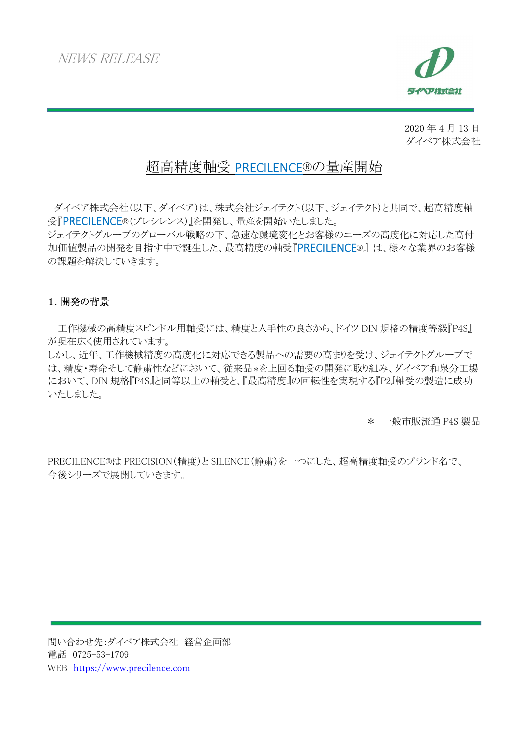

2020 年 4 月 13 日 ダイベア株式会社

# 超高精度軸受 PRECILENCE®の量産開始

 ダイベア株式会社(以下、ダイベア)は、株式会社ジェイテクト(以下、ジェイテクト)と共同で、超高精度軸 受『PRECILENCE®(プレシレンス)』を開発し、量産を開始いたしました。

ジェイテクトグループのグローバル戦略の下、急速な環境変化とお客様のニーズの高度化に対応した高付 加価値製品の開発を目指す中で誕生した、最高精度の軸受『PRECILENCE®』 は、様々な業界のお客様 の課題を解決していきます。

## 1.開発の背景

工作機械の高精度スピンドル用軸受には、精度と入手性の良さから、ドイツ DIN 規格の精度等級『P4S』 が現在広く使用されています。

しかし、近年、工作機械精度の高度化に対応できる製品への需要の高まりを受け、ジェイテクトグループで は、精度・寿命そして静粛性などにおいて、従来品\*を上回る軸受の開発に取り組み、ダイベア和泉分工場 において、DIN 規格『P4S』と同等以上の軸受と、『最高精度』の回転性を実現する『P2』軸受の製造に成功 いたしました。

\* 一般市販流通 P4S 製品

PRECILENCE®は PRECISION(精度)と SILENCE(静粛)を一つにした、超高精度軸受のブランド名で、 今後シリーズで展開していきます。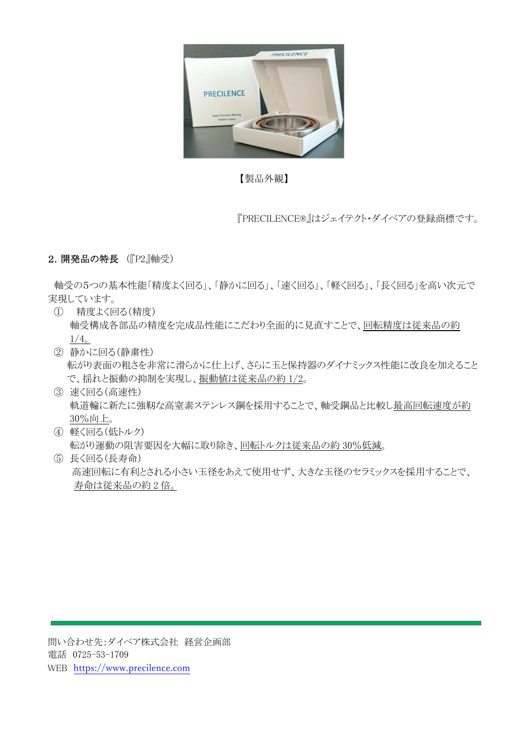

【製品外観】

『PRECILENCE®』はジェイテクト・ダイベアの登録商標です。

## 2.開発品の特長 (『P2』軸受)

 軸受の5つの基本性能「精度よく回る」、「静かに回る」、「速く回る」、「軽く回る」、「長く回る」を高い次元で 実現しています。

- ① 精度よく回る(精度) 軸受構成各部品の精度を完成品性能にこだわり全面的に見直すことで、回転精度は従来品の約  $1/4$ <sub>o</sub>
- ② 静かに回る(静粛性) 転がり表面の粗さを非常に滑らかに仕上げ、さらに玉と保持器のダイナミックス性能に改良を加えること で、揺れと振動の抑制を実現し、振動値は従来品の約 1/2。
- ③ 速く回る(高速性) 軌道輪に新たに強靭な高窒素ステンレス鋼を採用することで、軸受鋼品と比較し最高回転速度が約 30%向上。
- ④ 軽く回る(低トルク) 転がり運動の阻害要因を大幅に取り除き、回転トルクは従来品の約 30%低減。
- ⑤ 長く回る(長寿命) 高速回転に有利とされる小さい玉径をあえて使用せず、大きな玉径のセラミックスを採用することで、 寿命は従来品の約 2 倍。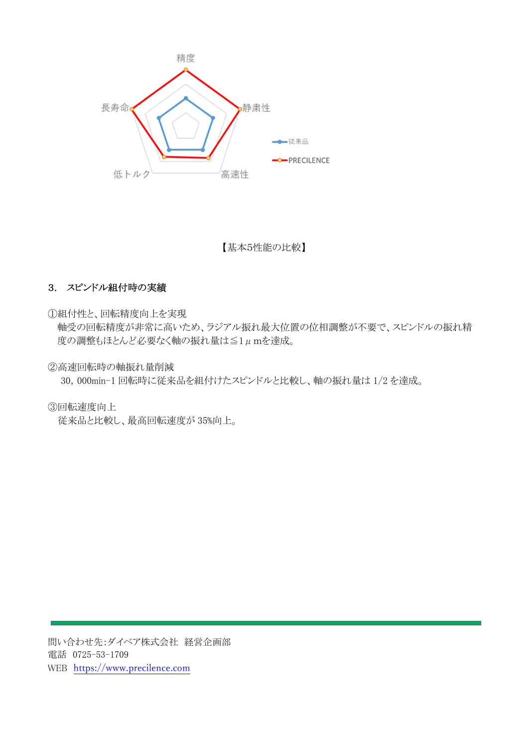

【基本5性能の比較】

## 3. スピンドル組付時の実績

①組付性と、回転精度向上を実現

軸受の回転精度が非常に高いため、ラジアル振れ最大位置の位相調整が不要で、スピンドルの振れ精 度の調整もほとんど必要なく軸の振れ量は≦1μmを達成。

②高速回転時の軸振れ量削減

30,000min-1 回転時に従来品を組付けたスピンドルと比較し、軸の振れ量は 1/2 を達成。

③回転速度向上

従来品と比較し、最高回転速度が 35%向上。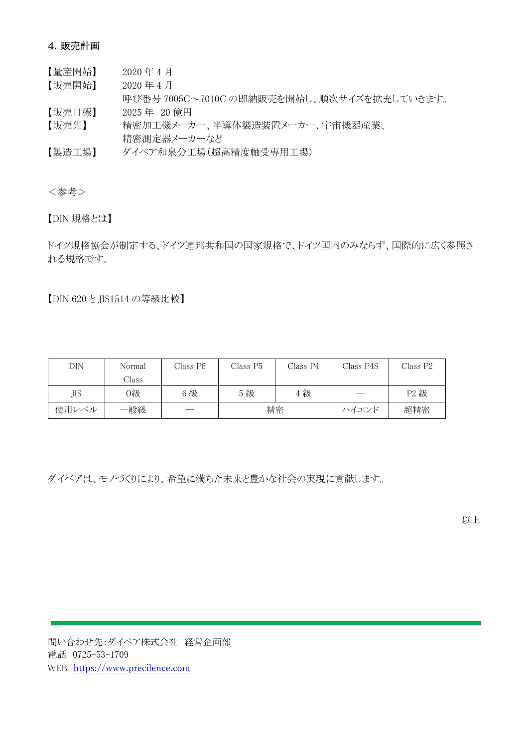#### 4.販売計画

- 【量産開始】 2020 年 4 月
- 【販売開始】 2020 年 4 月
- 呼び番号 7005C~7010C の即納販売を開始し、順次サイズを拡充していきます。

【販売目標】 2025 年 20 億円

【販売先】 精密加工機メーカー、半導体製造装置メーカー、宇宙機器産業、 精密測定器メーカーなど

【製造工場】 ダイベア和泉分工場(超高精度軸受専用工場)

<参考>

【DIN 規格とは】

ドイツ規格協会が制定する、ドイツ連邦共和国の国家規格で、ドイツ国内のみならず、国際的に広く参照さ れる規格です。

【DIN 620 と JIS1514 の等級比較】

| DIN   | Normal | Class P6 | Class P5 | Class P4 | Class P4S | Class P2 |
|-------|--------|----------|----------|----------|-----------|----------|
|       | Class  |          |          |          |           |          |
| JIS   | つ級     | 6級       | 5級       | 4級       |           | P2 級     |
| 使用レベル | 一般級    |          | 精密       |          | ハイエンド     | 超精密      |

ダイベアは、モノづくりにより、希望に満ちた未来と豊かな社会の実現に貢献します。

以上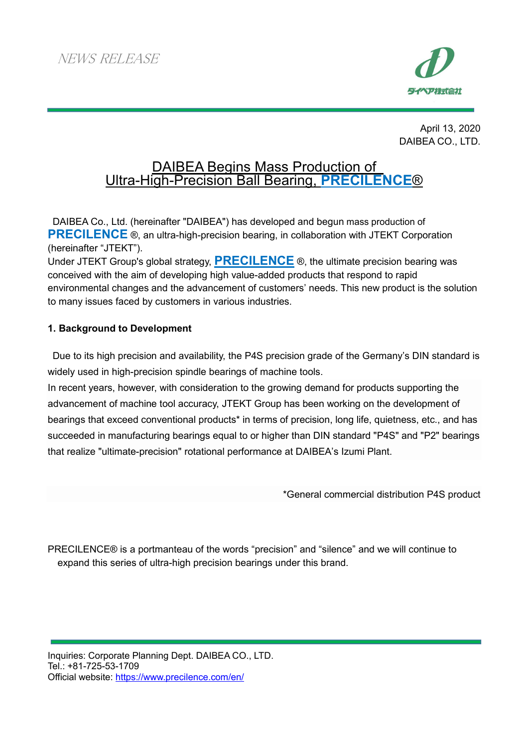

April 13, 2020 DAIBEA CO., LTD.

# DAIBEA Begins Mass Production of Ultra-High-Precision Ball Bearing, **PRECILENCE**®

 DAIBEA Co., Ltd. (hereinafter "DAIBEA") has developed and begun mass production of **PRECILENCE** ®, an ultra-high-precision bearing, in collaboration with JTEKT Corporation (hereinafter "JTEKT").

Under JTEKT Group's global strategy, **PRECILENCE** ®, the ultimate precision bearing was conceived with the aim of developing high value-added products that respond to rapid environmental changes and the advancement of customers' needs. This new product is the solution to many issues faced by customers in various industries.

# **1. Background to Development**

 Due to its high precision and availability, the P4S precision grade of the Germany's DIN standard is widely used in high-precision spindle bearings of machine tools.

In recent years, however, with consideration to the growing demand for products supporting the advancement of machine tool accuracy, JTEKT Group has been working on the development of bearings that exceed conventional products\* in terms of precision, long life, quietness, etc., and has succeeded in manufacturing bearings equal to or higher than DIN standard "P4S" and "P2" bearings that realize "ultimate-precision" rotational performance at DAIBEA's Izumi Plant.

\*General commercial distribution P4S product

PRECILENCE® is a portmanteau of the words "precision" and "silence" and we will continue to expand this series of ultra-high precision bearings under this brand.

Inquiries: Corporate Planning Dept. DAIBEA CO., LTD. Tel.: +81-725-53-1709 Official website: https://www.precilence.com/en/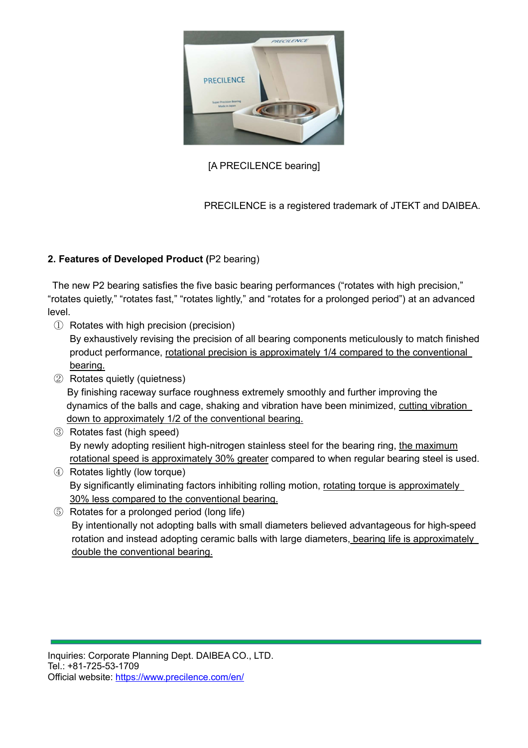

# [A PRECILENCE bearing]

PRECILENCE is a registered trademark of JTEKT and DAIBEA.

# **2. Features of Developed Product (**P2 bearing)

 The new P2 bearing satisfies the five basic bearing performances ("rotates with high precision," "rotates quietly," "rotates fast," "rotates lightly," and "rotates for a prolonged period") at an advanced level.

① Rotates with high precision (precision)

By exhaustively revising the precision of all bearing components meticulously to match finished product performance, rotational precision is approximately 1/4 compared to the conventional bearing.

- ② Rotates quietly (quietness) By finishing raceway surface roughness extremely smoothly and further improving the dynamics of the balls and cage, shaking and vibration have been minimized, cutting vibration down to approximately 1/2 of the conventional bearing.
- ③ Rotates fast (high speed) By newly adopting resilient high-nitrogen stainless steel for the bearing ring, the maximum rotational speed is approximately 30% greater compared to when regular bearing steel is used.
- ④ Rotates lightly (low torque) By significantly eliminating factors inhibiting rolling motion, rotating torque is approximately 30% less compared to the conventional bearing.
- ⑤ Rotates for a prolonged period (long life) By intentionally not adopting balls with small diameters believed advantageous for high-speed rotation and instead adopting ceramic balls with large diameters, bearing life is approximately double the conventional bearing.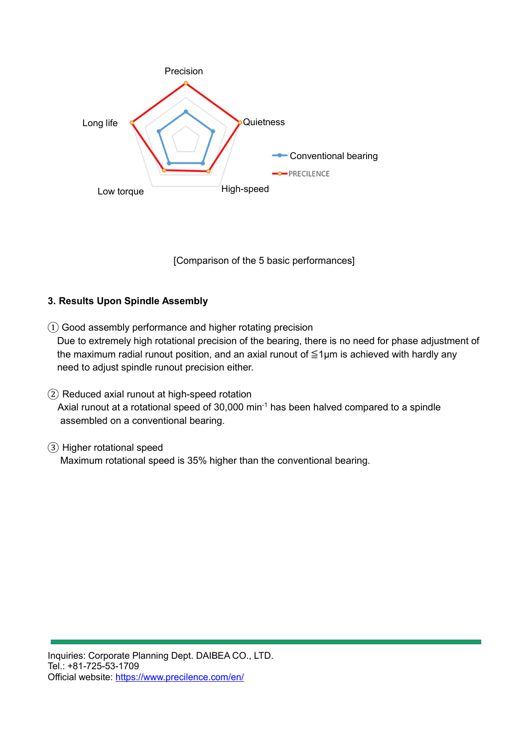

[Comparison of the 5 basic performances]

## **3. Results Upon Spindle Assembly**

- ① Good assembly performance and higher rotating precision Due to extremely high rotational precision of the bearing, there is no need for phase adjustment of the maximum radial runout position, and an axial runout of  $\leq$ 1µm is achieved with hardly any need to adjust spindle runout precision either.
- ② Reduced axial runout at high-speed rotation Axial runout at a rotational speed of  $30,000$  min<sup>-1</sup> has been halved compared to a spindle assembled on a conventional bearing.
- ③ Higher rotational speed Maximum rotational speed is 35% higher than the conventional bearing.